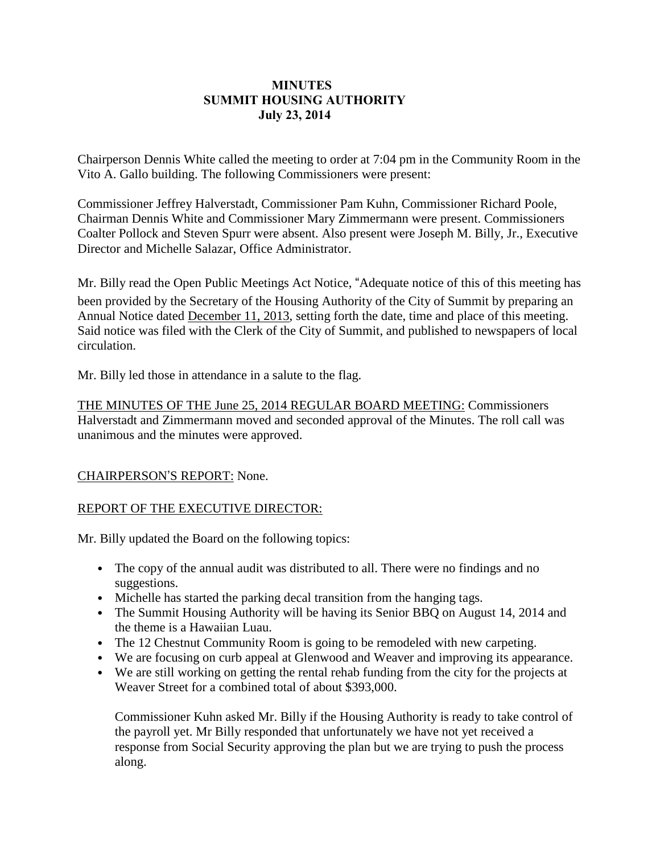# **MINUTES SUMMIT HOUSING AUTHORITY July 23, 2014**

Chairperson Dennis White called the meeting to order at 7:04 pm in the Community Room in the Vito A. Gallo building. The following Commissioners were present:

Commissioner Jeffrey Halverstadt, Commissioner Pam Kuhn, Commissioner Richard Poole, Chairman Dennis White and Commissioner Mary Zimmermann were present. Commissioners Coalter Pollock and Steven Spurr were absent. Also present were Joseph M. Billy, Jr., Executive Director and Michelle Salazar, Office Administrator.

Mr. Billy read the Open Public Meetings Act Notice, "Adequate notice of this of this meeting has been provided by the Secretary of the Housing Authority of the City of Summit by preparing an Annual Notice dated December 11, 2013, setting forth the date, time and place of this meeting. Said notice was filed with the Clerk of the City of Summit, and published to newspapers of local circulation.

Mr. Billy led those in attendance in a salute to the flag.

THE MINUTES OF THE June 25, 2014 REGULAR BOARD MEETING: Commissioners Halverstadt and Zimmermann moved and seconded approval of the Minutes. The roll call was unanimous and the minutes were approved.

# CHAIRPERSON'S REPORT: None.

# REPORT OF THE EXECUTIVE DIRECTOR:

Mr. Billy updated the Board on the following topics:

- The copy of the annual audit was distributed to all. There were no findings and no suggestions.
- Michelle has started the parking decal transition from the hanging tags.
- The Summit Housing Authority will be having its Senior BBQ on August 14, 2014 and the theme is a Hawaiian Luau.
- The 12 Chestnut Community Room is going to be remodeled with new carpeting.
- We are focusing on curb appeal at Glenwood and Weaver and improving its appearance.
- We are still working on getting the rental rehab funding from the city for the projects at Weaver Street for a combined total of about \$393,000.

Commissioner Kuhn asked Mr. Billy if the Housing Authority is ready to take control of the payroll yet. Mr Billy responded that unfortunately we have not yet received a response from Social Security approving the plan but we are trying to push the process along.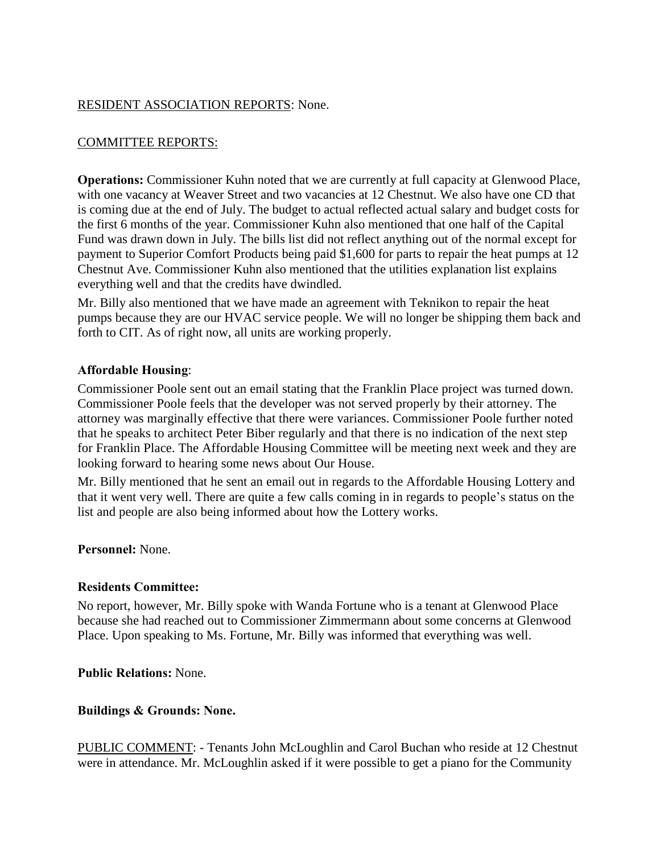## RESIDENT ASSOCIATION REPORTS: None.

## COMMITTEE REPORTS:

**Operations:** Commissioner Kuhn noted that we are currently at full capacity at Glenwood Place, with one vacancy at Weaver Street and two vacancies at 12 Chestnut. We also have one CD that is coming due at the end of July. The budget to actual reflected actual salary and budget costs for the first 6 months of the year. Commissioner Kuhn also mentioned that one half of the Capital Fund was drawn down in July. The bills list did not reflect anything out of the normal except for payment to Superior Comfort Products being paid \$1,600 for parts to repair the heat pumps at 12 Chestnut Ave. Commissioner Kuhn also mentioned that the utilities explanation list explains everything well and that the credits have dwindled.

Mr. Billy also mentioned that we have made an agreement with Teknikon to repair the heat pumps because they are our HVAC service people. We will no longer be shipping them back and forth to CIT. As of right now, all units are working properly.

#### **Affordable Housing**:

Commissioner Poole sent out an email stating that the Franklin Place project was turned down. Commissioner Poole feels that the developer was not served properly by their attorney. The attorney was marginally effective that there were variances. Commissioner Poole further noted that he speaks to architect Peter Biber regularly and that there is no indication of the next step for Franklin Place. The Affordable Housing Committee will be meeting next week and they are looking forward to hearing some news about Our House.

Mr. Billy mentioned that he sent an email out in regards to the Affordable Housing Lottery and that it went very well. There are quite a few calls coming in in regards to people's status on the list and people are also being informed about how the Lottery works.

**Personnel:** None.

#### **Residents Committee:**

No report, however, Mr. Billy spoke with Wanda Fortune who is a tenant at Glenwood Place because she had reached out to Commissioner Zimmermann about some concerns at Glenwood Place. Upon speaking to Ms. Fortune, Mr. Billy was informed that everything was well.

**Public Relations:** None.

#### **Buildings & Grounds: None.**

PUBLIC COMMENT: - Tenants John McLoughlin and Carol Buchan who reside at 12 Chestnut were in attendance. Mr. McLoughlin asked if it were possible to get a piano for the Community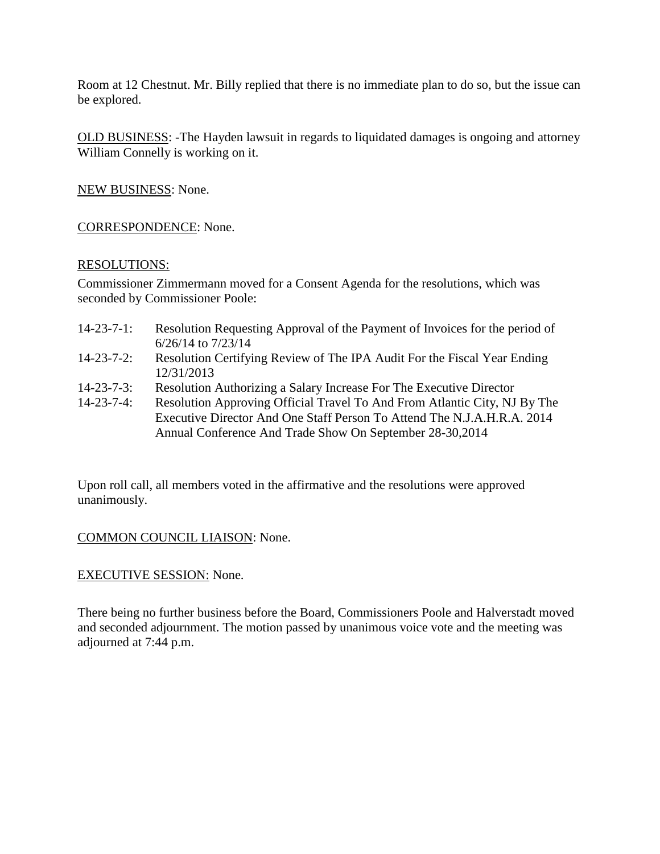Room at 12 Chestnut. Mr. Billy replied that there is no immediate plan to do so, but the issue can be explored.

OLD BUSINESS: -The Hayden lawsuit in regards to liquidated damages is ongoing and attorney William Connelly is working on it.

NEW BUSINESS: None.

CORRESPONDENCE: None.

#### RESOLUTIONS:

Commissioner Zimmermann moved for a Consent Agenda for the resolutions, which was seconded by Commissioner Poole:

- 14-23-7-1: Resolution Requesting Approval of the Payment of Invoices for the period of 6/26/14 to 7/23/14
- 14-23-7-2: Resolution Certifying Review of The IPA Audit For the Fiscal Year Ending 12/31/2013
- 14-23-7-3: Resolution Authorizing a Salary Increase For The Executive Director
- 14-23-7-4: Resolution Approving Official Travel To And From Atlantic City, NJ By The Executive Director And One Staff Person To Attend The N.J.A.H.R.A. 2014 Annual Conference And Trade Show On September 28-30,2014

Upon roll call, all members voted in the affirmative and the resolutions were approved unanimously.

#### COMMON COUNCIL LIAISON: None.

#### EXECUTIVE SESSION: None.

There being no further business before the Board, Commissioners Poole and Halverstadt moved and seconded adjournment. The motion passed by unanimous voice vote and the meeting was adjourned at 7:44 p.m.